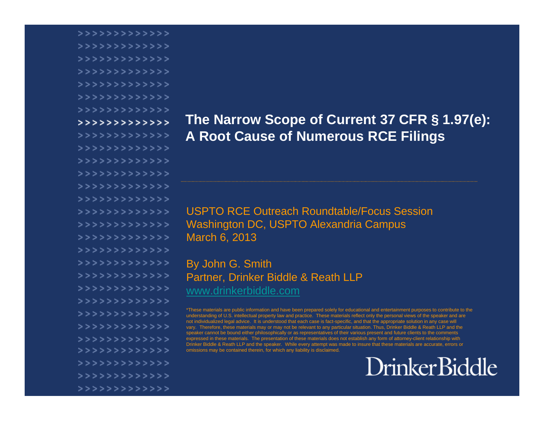>>>>>>>>>>>>>>> >>>>>>>>>>>>>>> >>>>>>>>>>>>>>> >>>>>>>>>>>>>>> >>>>>>>>>>>>>>> >>>>>>>>>>>>>>> >>>>>>>>>>>>>>>  $>$ >>>>>>>>>>>>>>> >>>>>>>>>>>>>>> >>>>>>>>>>>>>>> >>>>>>>>>>>>>>> >>>>>>>>>>>>>>> >>>>>>>>>>>>>>> >>>>>>>>>>>>>>> >>>>>>>>>>>>>>> >>>>>>>>>>>>>> >>>>>>>>>>>>>>> >>>>>>>>>>>>> >>>>>>>>>>>>>>> >>>>>>>>>>>>>>> >>>>>>>>>>>>>>> >>>>>>>>>>>>>>> >>>>>>>>>>>>>>> >>>>>>>>>>>>>>> >>>>>>>>>>>>>>> >>>>>>>>>>>>>>> >>>>>>>>>>>>>>> >>>>>>>>>>>>> >>>>>>>>>>>>>

#### **The Narrow Scope of Current 37 CFR § 1.97(e): A Root Cause of Numerous RCE Filings**

USPTO RCE Outreach Roundtable/Focus Session Washington DC, USPTO Alexandria Campus March 6, 2013

By John G. Smith Partner, Drinker Biddle & Reath LLP www.drinkerbiddle.com

\*These materials are public information and have been prepared solely for educational and entertainment purposes to contribute to the understanding of U.S. intellectual property law and practice. These materials reflect only the personal views of the speaker and are not individualized legal advice. It is understood that each case is fact-specific, and that the appropriate solution in any case will vary. Therefore, these materials may or may not be relevant to any particular situation. Thus, Drinker Biddle & Reath LLP and the speaker cannot be bound either philosophically or as representatives of their various present and future clients to the comments expressed in these materials. The presentation of these materials does not establish any form of attorney-client relationship with Drinker Biddle & Reath LLP and the speaker. While every attempt was made to insure that these materials are accurate, errors or omissions may be contained therein, for which any liability is disclaimed.

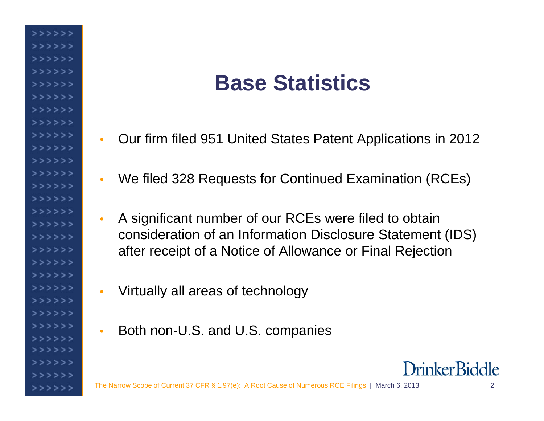## **Base Statistics**

- $\bullet$ Our firm filed 951 United States Patent Applications in 2012
- •We filed 328 Requests for Continued Examination (RCEs)
- $\bullet$  A significant number of our RCEs were filed to obtain consideration of an Information Disclosure Statement (IDS) after receipt of a Notice of Allowance or Final Rejection
- •Virtually all areas of technology

>>>>>> >>>>>> >>>>>>  $>$ >>>>> >>>>>> >>>>>> >>>>>>  $>$ >>>>>></sub> >>>>>> >>>>>> >>>>>> >>>>>> >>>>>> >>>>>>  $>$ >>>>>  $>$ >>>>>>  $>$ >>>>> >>>>>>>  $>$ >>>>> >>>>>> >>>>>> >>>>>> >>>>>> >>>>>>

>>>>>>  $>$ >>>>>

>>>>>> >>>>>>  $\bullet$ Both non-U.S. and U.S. companies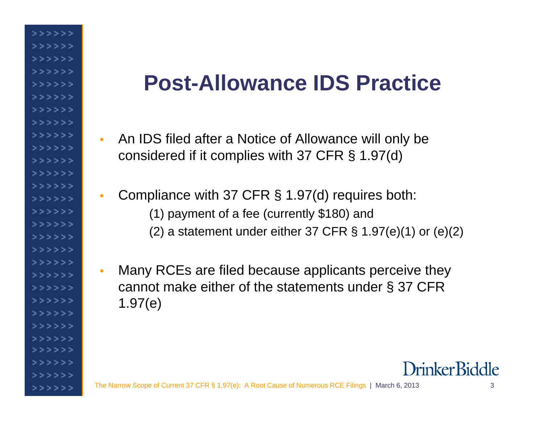## **Post-Allowance IDS Practice**

- $\bullet$  An IDS filed after a Notice of Allowance will only be considered if it complies with 37 CFR § 1.97(d)
- $\bullet$  Compliance with 37 CFR § 1.97(d) requires both: (1) payment of a fee (currently \$180) and (2) a statement under either 37 CFR  $\S$  1.97(e)(1) or (e)(2)
- $\bullet$  Many RCEs are filed because applicants perceive they cannot make either of the statements under § 37 CFR 1.97(e)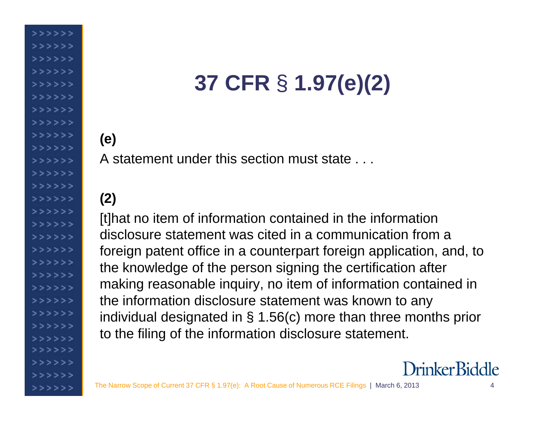# **37 CFR** § **1.97(e)(2)**

### **(e)**

>>>>>> >>>>>> >>>>>>

>>>>>>  $>$ >>>>>  $555555$ >>>>>>  $555555$ >>>>>> >>>>>>  $>$ >>>>>  $>$ >>>>> >>>>>>  $>$ >>>>> >>>>>> >>>>>>

 $>$ >>>>>  $>$ >>>>> >>>>>> >>>>>>

 $333333$ 

>>>>>>

A statement under this section must state . . .

#### **(2)**

[t]hat no item of information contained in the information disclosure statement was cited in a communication from a foreign patent office in a counterpart foreign application, and, to the knowledge of the person signing the certification after making reasonable inquiry, no item of information contained in the information disclosure statement was known to any individual designated in § 1.56(c) more than three months prior to the filing of the information disclosure statement.

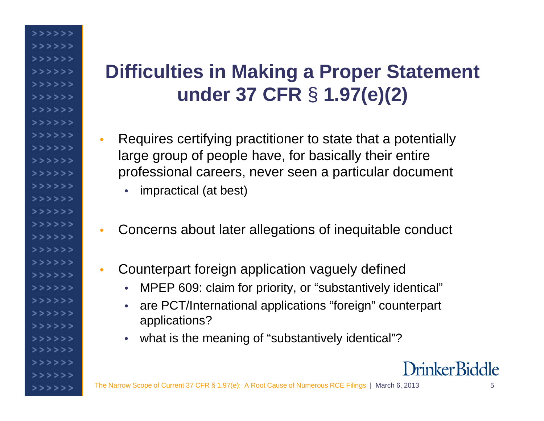### **Difficulties in Making a Proper Statement under 37 CFR** § **1.97(e)(2)**

- • Requires certifying practitioner to state that a potentially large group of people have, for basically their entire professional careers, never seen a particular document
	- •impractical (at best)

>>>>>> >>>>>> >>>>>> >>>>>> >>>>>> >>>>>> >>>>>>  $>$ >>>>>></sub>  $>$ >>>>> >>>>>>  $>$ >>>>> >>>>>> >>>>>> >>>>>>  $>$ >>>>> >>>>>>  $>$ >>>>> >>>>>>  $>$ >>>>> >>>>>> >>>>>> >>>>>> >>>>>> >>>>>>

>>>>>>  $>$ >>>>>

>>>>>> >>>>>>

- •Concerns about later allegations of inequitable conduct
- $\bullet$  Counterpart foreign application vaguely defined
	- •MPEP 609: claim for priority, or "substantively identical"
	- • are PCT/International applications "foreign" counterpart applications?
	- •what is the meaning of "substantively identical"?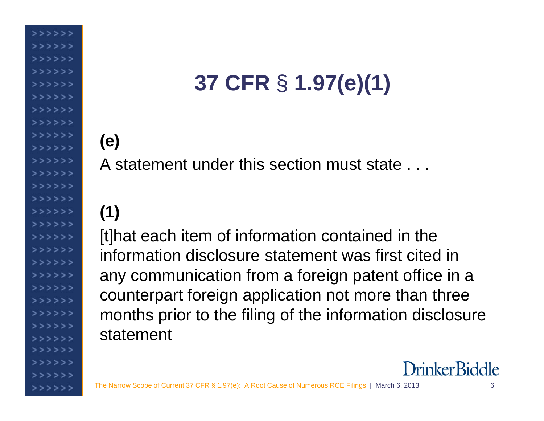# **37 CFR** § **1.97(e)(1)**

## **(e)**

>>>>>> >>>>>> >>>>>>

>>>>>>  $>$ >>>>> >>>>>> >>>>>>  $555555$ 

>>>>>> >>>>>>  $>$ >>>>> >>>>>>  $>$ >>>>> >>>>>>  $>$ >>>>>

>>>>>>  $>$ >>>>> >>>>>> >>>>>>

 $333333$ 

>>>>>>

A statement under this section must state . . .

## **(1)**

[t]hat each item of information contained in the information disclosure statement was first cited in any communication from a foreign patent office in a counterpart foreign application not more than three months prior to the filing of the information disclosure statement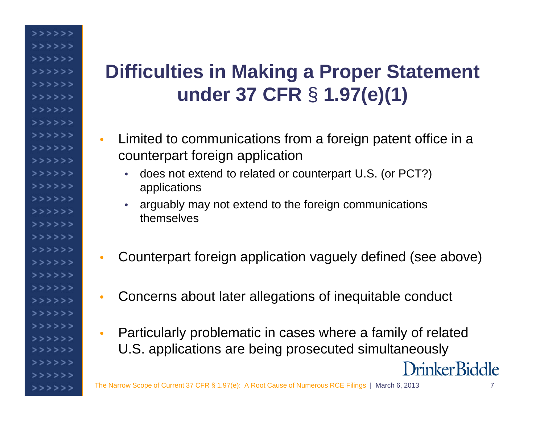### **Difficulties in Making a Proper Statement under 37 CFR** § **1.97(e)(1)**

>>>>>>> >>>>>> >>>>>>  $>$ >>>>> >>>>>>> >>>>>> >>>>>>  $>$ >>>>>> >>>>>>> >>>>>>  $>$ >>>>>  $>$ >>>>> >>>>>> >>>>>>  $>$ >>>>>  $>$ >>>>>> >>>>>> >>>>>>  $>$ >>>>> >>>>>> >>>>>>  $>$ >>>>> >>>>>> >>>>>> >>>>>> >>>>>>  $>$ >>>>>

>>>>>> >>>>>>>

- • Limited to communications from a foreign patent office in a counterpart foreign application
	- does not extend to related or counterpart U.S. (or PCT?) applications
	- arguably may not extend to the foreign communications themselves
- $\bullet$ Counterpart foreign application vaguely defined (see above)
- $\bullet$ Concerns about later allegations of inequitable conduct
- Particularly problematic in cases where a family of related •U.S. applications are being prosecuted simultaneously Drinker Biddle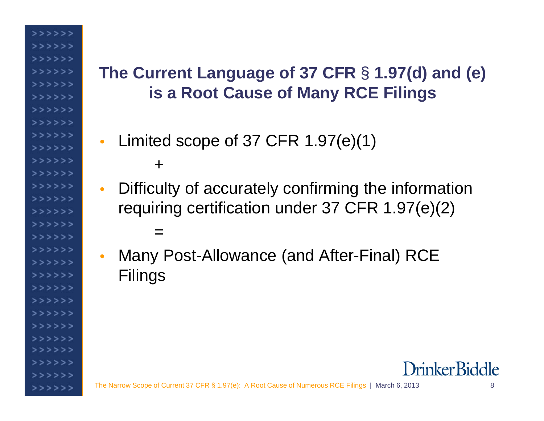### **The Current Language of 37 CFR** § **1.97(d) and (e) is a Root Cause of Many RCE Filings**

- $\bullet$  Limited scope of 37 CFR 1.97(e)(1) +
- $\bullet$  Difficulty of accurately confirming the information requiring certification under 37 CFR 1.97(e)(2) =
- $\bullet$  Many Post-Allowance (and After-Final) RCE Filings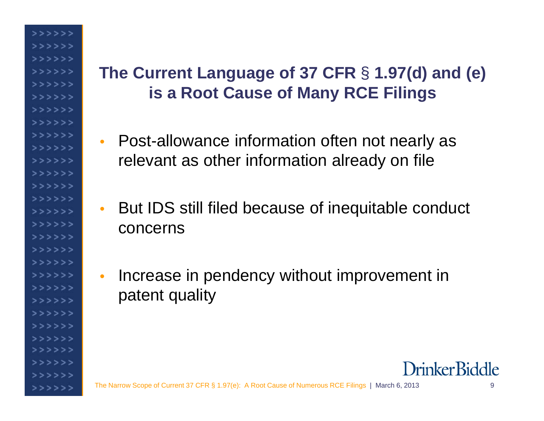>>>>>>> >>>>>> >>>>>>  $>$ >>>>> >>>>>> >>>>>>  $>$ >>>>>></sub> >>>>>> >>>>>>  $555555$ >>>>>> >>>>>> >>>>>>  $>$ >>>>> >>>>>> >>>>>> >>>>>>  $>$ >>>>> >>>>>> >>>>>>  $>$ >>>>> >>>>>>  $>$ >>>>></sub>  $333333$ >>>>>>

#### **The Current Language of 37 CFR** § **1.97(d) and (e) is a Root Cause of Many RCE Filings**

- Post-allowance information often not nearly as relevant as other information already on file
- $\bullet$  But IDS still filed because of inequitable conduct concerns
- • Increase in pendency without improvement in patent quality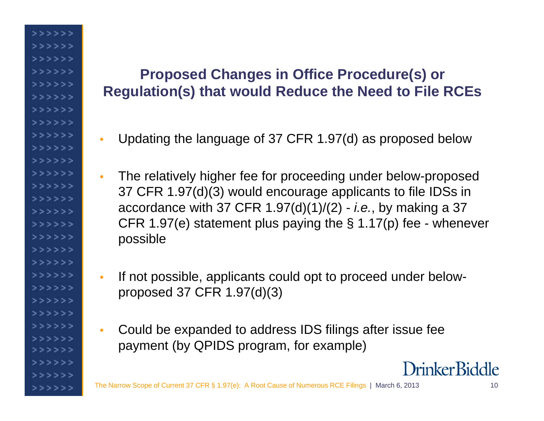#### **Proposed Changes in Office Procedure(s) or Regulation(s) that would Reduce the Need to File RCEs**

>>>>>> >>>>>> >>>>>> >>>>>> >>>>>> >>>>>> >>>>>>  $>$ >>>>> >>>>>>  $>$ >>>>>  $>$ >>>>>> >>>>>>  $>$ >>>>> >>>>>>>  $>$ >>>>>  $>$ >>>>> >>>>>> >>>>>>  $>$ >>>>> >>>>>> >>>>>> >>>>>> >>>>>>  $>$ >>>>> >>>>>> >>>>>>  $>$ >>>>>

>>>>>> >>>>>>

- •Updating the language of 37 CFR 1.97(d) as proposed below
- • The relatively higher fee for proceeding under below-proposed 37 CFR 1.97(d)(3) would encourage applicants to file IDSs in accordance with 37 CFR 1.97(d)(1)/(2) - *i.e.*, by making a 37 CFR 1.97(e) statement plus paying the § 1.17(p) fee - whenever possible
- • If not possible, applicants could opt to proceed under belowproposed 37 CFR 1.97(d)(3)
- • Could be expanded to address IDS filings after issue fee payment (by QPIDS program, for example)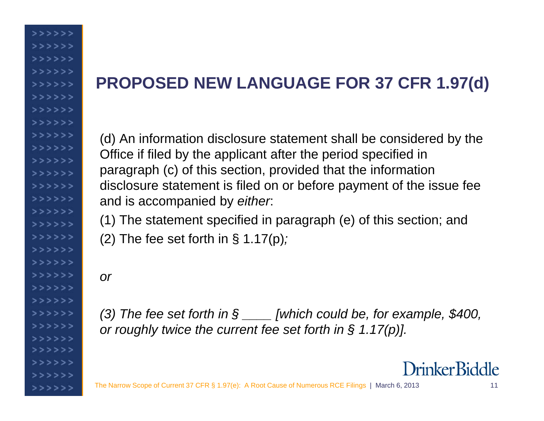#### **PROPOSED NEW LANGUAGE FOR 37 CFR 1.97(d)**

(d) An information disclosure statement shall be considered by the Office if filed by the applicant after the period specified in paragraph (c) of this section, provided that the information disclosure statement is filed on or before payment of the issue fee and is accompanied by *either*:

(1) The statement specified in paragraph (e) of this section; and

(2) The fee set forth in § 1.17(p)*;* 

*or* 

>>>>>> >>>>>> >>>>>>  $>$ >>>>> >>>>>> >>>>>> >>>>>>  $>$ >>>>>> >>>>>> >>>>>>  $>$ >>>>>  $>$ >>>>>  $>$ >>>>> >>>>>>  $>$ >>>>>  $>$ >>>>> >>>>>> >>>>>>  $>$ >>>>>> >>>>>> >>>>>>  $>$ >>>>> >>>>>>  $>$ >>>>> >>>>>> >>>>>>  $>$ >>>>>

>>>>>> >>>>>>> *(3) The fee set forth in § \_\_\_\_ [which could be, for example, \$400, or roughly twice the current fee set forth in § 1.17(p)].*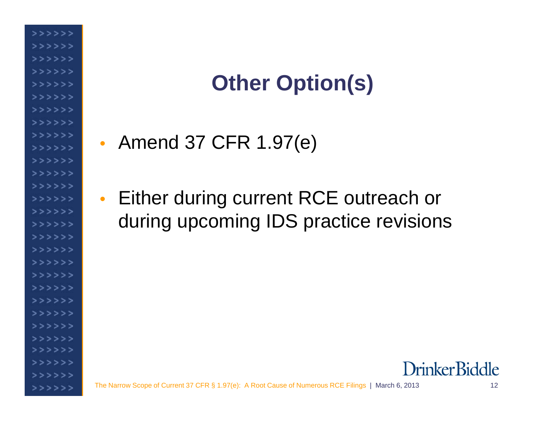# **Other Option(s)**

•• Amend 37 CFR 1.97(e)

>>>>>>> >>>>>> >>>>>>  $>$ >>>>> >>>>>> >>>>>> >>>>>>  $>$ >>>>>> >>>>>>> >>>>>>  $>$ >>>>> >>>>>>> >>>>>> >>>>>>  $>$ >>>>> >>>>>>  $>$ >>>>> >>>>>>  $>$ >>>>> >>>>>> >>>>>>  $>$ >>>>> >>>>>> >>>>>> >>>>>> >>>>>>  $>$ >>>>>

>>>>>> >>>>>>  $\bullet$  Either during current RCE outreach or during upcoming IDS practice revisions